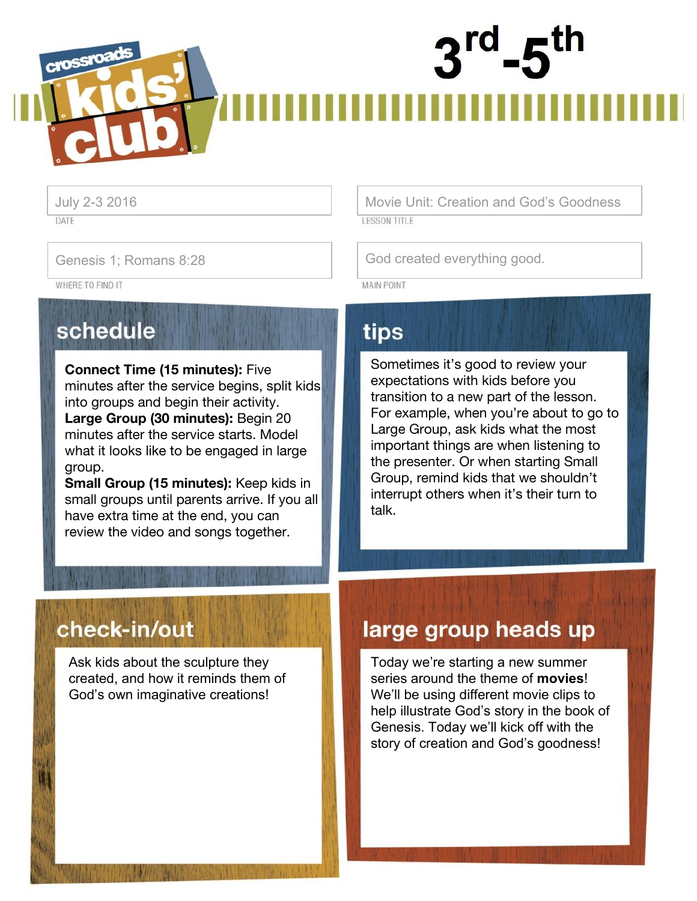# crossroa

DATE

WHERE TO FIND IT

schedule

**Connect Time (15 minutes):** Five minutes after the service begins, split kids into groups and begin their activity. **Large Group (30 minutes):** Begin 20 minutes after the service starts. Model what it looks like to be engaged in large group.

**Small Group (15 minutes):** Keep kids in small groups until parents arrive. If you all have extra time at the end, you can review the video and songs together.

July 2-3 2016 Movie Unit: Creation and God's Goodness**LESSON TITLE** 

Genesis 1; Romans 8:28 Genesis 1; Romans 8:28

**MAIN POINT** 

# tips

Sometimes it's good to review your expectations with kids before you transition to a new part of the lesson. For example, when you're about to go to Large Group, ask kids what the most important things are when listening to the presenter. Or when starting Small Group, remind kids that we shouldn't interrupt others when it's their turn to talk.

# check-in/out

Ask kids about the sculpture they created, and how it reminds them of God's own imaginative creations!

# large group heads up

Today we're starting a new summer series around the theme of **movies**! We'll be using different movie clips to help illustrate God's story in the book of Genesis. Today we'll kick off with the story of creation and God's goodness!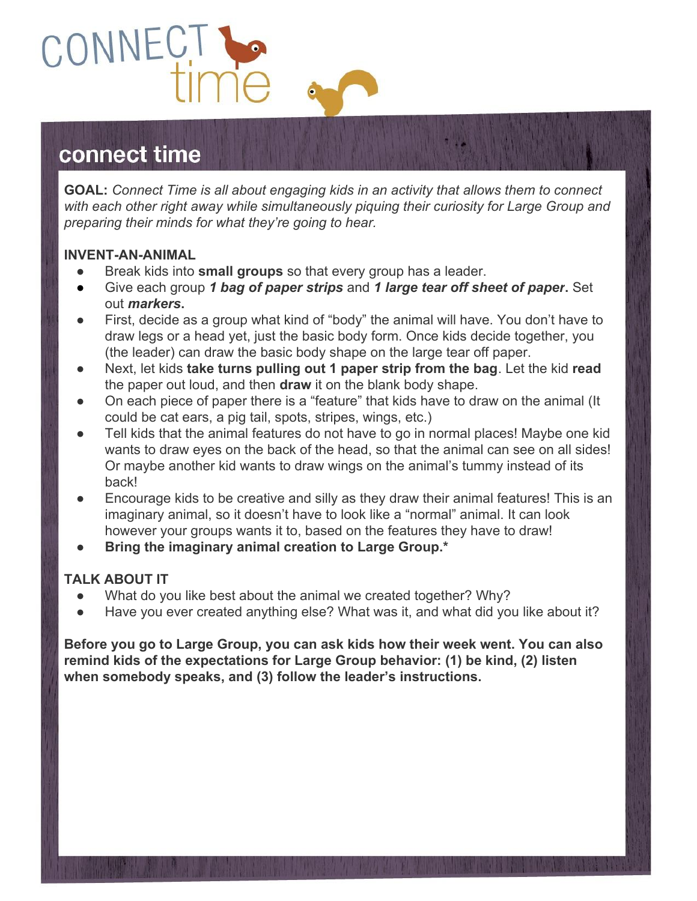

# connect time

**GOAL:** *Connect Time is all about engaging kids in an activity that allows them to connect with each other right away while simultaneously piquing their curiosity for Large Group and preparing their minds for what they're going to hear.*

## **INVENT-AN-ANIMAL**

- Break kids into **small groups** so that every group has a leader.
- Give each group *1 bag of paper strips* and *1 large tear off sheet of paper***.** Set out *markers***.**
- First, decide as a group what kind of "body" the animal will have. You don't have to draw legs or a head yet, just the basic body form. Once kids decide together, you (the leader) can draw the basic body shape on the large tear off paper.
- Next, let kids **take turns pulling out 1 paper strip from the bag**. Let the kid **read** the paper out loud, and then **draw** it on the blank body shape.
- On each piece of paper there is a "feature" that kids have to draw on the animal (It could be cat ears, a pig tail, spots, stripes, wings, etc.)
- Tell kids that the animal features do not have to go in normal places! Maybe one kid wants to draw eyes on the back of the head, so that the animal can see on all sides! Or maybe another kid wants to draw wings on the animal's tummy instead of its back!
- Encourage kids to be creative and silly as they draw their animal features! This is an imaginary animal, so it doesn't have to look like a "normal" animal. It can look however your groups wants it to, based on the features they have to draw!
- **● Bring the imaginary animal creation to Large Group.\***

# **TALK ABOUT IT**

- What do you like best about the animal we created together? Why?
- Have you ever created anything else? What was it, and what did you like about it?

**Before you go to Large Group, you can ask kids how their week went. You can also remind kids of the expectations for Large Group behavior: (1) be kind, (2) listen when somebody speaks, and (3) follow the leader's instructions.**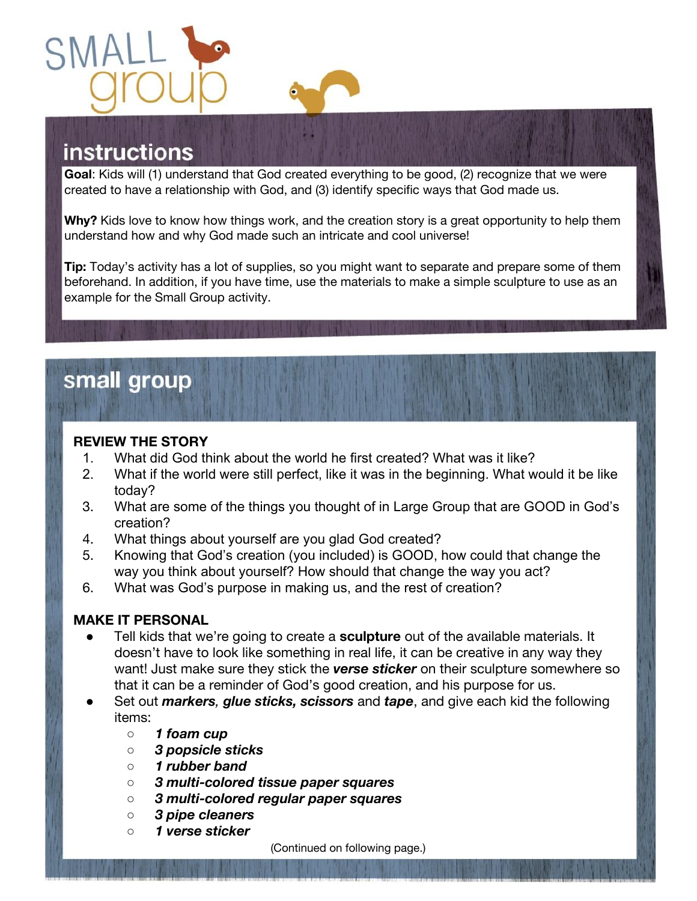

# **instructions**

**Goal**: Kids will (1) understand that God created everything to be good, (2) recognize that we were created to have a relationship with God, and (3) identify specific ways that God made us.

**Why?** Kids love to know how things work, and the creation story is a great opportunity to help them understand how and why God made such an intricate and cool universe!

**Tip:** Today's activity has a lot of supplies, so you might want to separate and prepare some of them beforehand. In addition, if you have time, use the materials to make a simple sculpture to use as an example for the Small Group activity.

# small group

#### **REVIEW THE STORY**

- 1. What did God think about the world he first created? What was it like?
- 2. What if the world were still perfect, like it was in the beginning. What would it be like today?
- 3. What are some of the things you thought of in Large Group that are GOOD in God's creation?
- 4. What things about yourself are you glad God created?
- 5. Knowing that God's creation (you included) is GOOD, how could that change the way you think about yourself? How should that change the way you act?
- 6. What was God's purpose in making us, and the rest of creation?

#### **MAKE IT PERSONAL**

- Tell kids that we're going to create a **sculpture** out of the available materials. It doesn't have to look like something in real life, it can be creative in any way they want! Just make sure they stick the *verse sticker* on their sculpture somewhere so that it can be a reminder of God's good creation, and his purpose for us.
- Set out *markers, glue sticks, scissors* and *tape*, and give each kid the following items:
	- *○ 1 foam cup*
	- *○ 3 popsicle sticks*
	- *○ 1 rubber band*
	- *○ 3 multi-colored tissue paper squares*
	- *○ 3 multi-colored regular paper squares*
	- *○ 3 pipe cleaners*
	- *○ 1 verse sticker*

(Continued on following page.)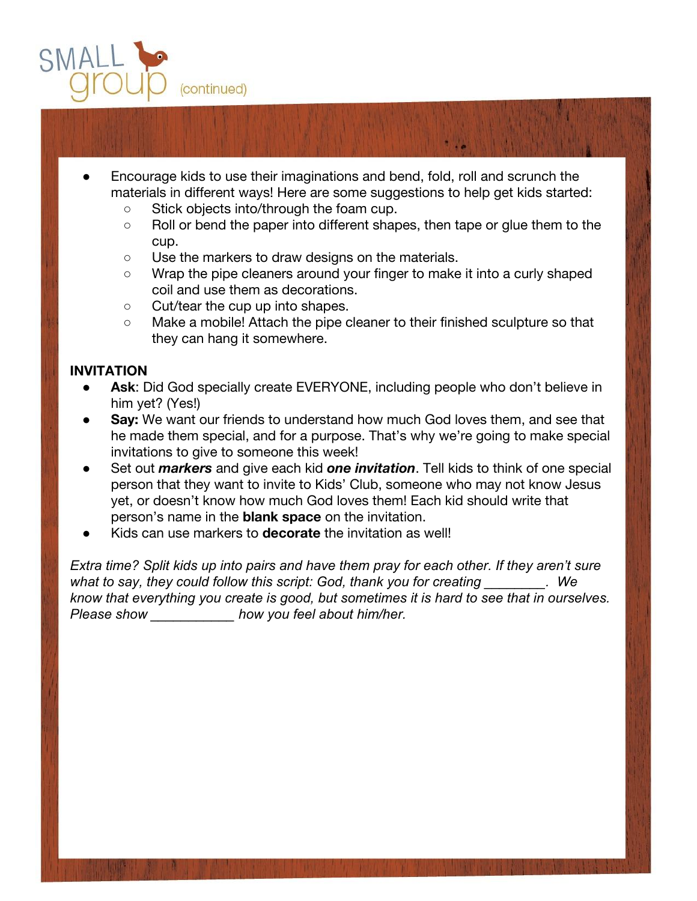

- Encourage kids to use their imaginations and bend, fold, roll and scrunch the materials in different ways! Here are some suggestions to help get kids started:
	- Stick objects into/through the foam cup.
	- Roll or bend the paper into different shapes, then tape or glue them to the cup.
	- Use the markers to draw designs on the materials.
	- Wrap the pipe cleaners around your finger to make it into a curly shaped coil and use them as decorations.
	- Cut/tear the cup up into shapes.
	- Make a mobile! Attach the pipe cleaner to their finished sculpture so that they can hang it somewhere.

# **INVITATION**

- Ask: Did God specially create EVERYONE, including people who don't believe in him yet? (Yes!)
- **Say:** We want our friends to understand how much God loves them, and see that he made them special, and for a purpose. That's why we're going to make special invitations to give to someone this week!
- Set out *markers* and give each kid *one invitation*. Tell kids to think of one special person that they want to invite to Kids' Club, someone who may not know Jesus yet, or doesn't know how much God loves them! Each kid should write that person's name in the **blank space** on the invitation.
- Kids can use markers to **decorate** the invitation as well!

*Extra time? Split kids up into pairs and have them pray for each other. If they aren't sure*  what to say, they could follow this script: God, thank you for creating **with the** *We know that everything you create is good, but sometimes it is hard to see that in ourselves. Please show \_\_\_\_\_\_\_\_\_\_\_ how you feel about him/her.*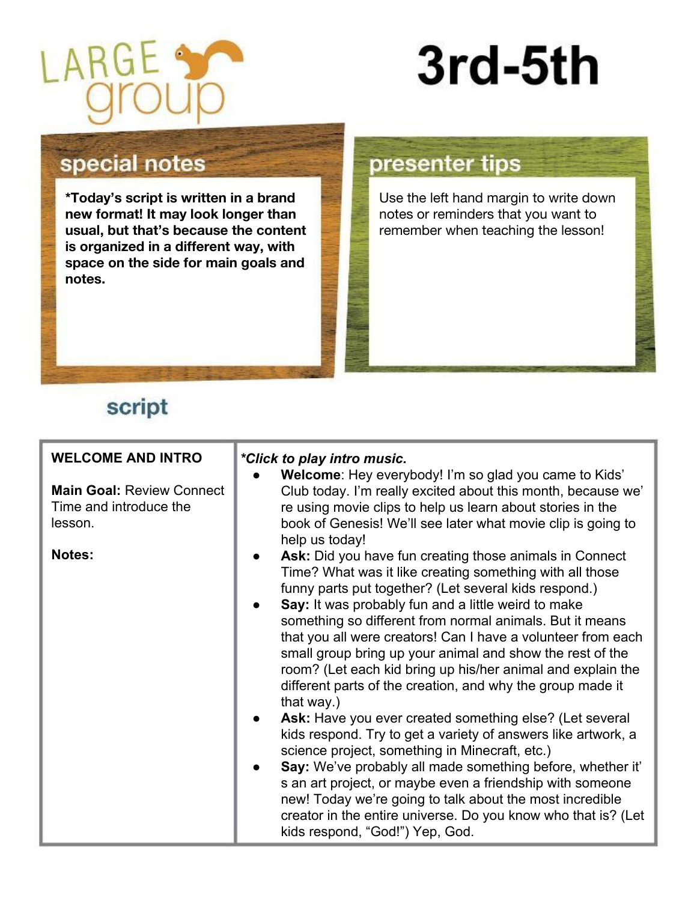

# 3rd-5th

# special notes

**\*Today's script is written in a brand new format! It may look longer than usual, but that's because the content is organized in a different way, with space on the side for main goals and notes.** 

# presenter tips

Use the left hand margin to write down notes or reminders that you want to remember when teaching the lesson!

# script

| <b>WELCOME AND INTRO</b><br><b>Main Goal: Review Connect</b><br>Time and introduce the<br>lesson.<br>Notes: | *Click to play intro music.<br>Welcome: Hey everybody! I'm so glad you came to Kids'<br>Club today. I'm really excited about this month, because we'<br>re using movie clips to help us learn about stories in the<br>book of Genesis! We'll see later what movie clip is going to<br>help us today!<br>Ask: Did you have fun creating those animals in Connect<br>Time? What was it like creating something with all those<br>funny parts put together? (Let several kids respond.)<br>Say: It was probably fun and a little weird to make<br>something so different from normal animals. But it means<br>that you all were creators! Can I have a volunteer from each<br>small group bring up your animal and show the rest of the<br>room? (Let each kid bring up his/her animal and explain the<br>different parts of the creation, and why the group made it<br>that way.)<br>Ask: Have you ever created something else? (Let several<br>kids respond. Try to get a variety of answers like artwork, a<br>science project, something in Minecraft, etc.)<br>Say: We've probably all made something before, whether it'<br>s an art project, or maybe even a friendship with someone<br>new! Today we're going to talk about the most incredible<br>creator in the entire universe. Do you know who that is? (Let |
|-------------------------------------------------------------------------------------------------------------|-----------------------------------------------------------------------------------------------------------------------------------------------------------------------------------------------------------------------------------------------------------------------------------------------------------------------------------------------------------------------------------------------------------------------------------------------------------------------------------------------------------------------------------------------------------------------------------------------------------------------------------------------------------------------------------------------------------------------------------------------------------------------------------------------------------------------------------------------------------------------------------------------------------------------------------------------------------------------------------------------------------------------------------------------------------------------------------------------------------------------------------------------------------------------------------------------------------------------------------------------------------------------------------------------------------------------|
|                                                                                                             | kids respond, "God!") Yep, God.                                                                                                                                                                                                                                                                                                                                                                                                                                                                                                                                                                                                                                                                                                                                                                                                                                                                                                                                                                                                                                                                                                                                                                                                                                                                                       |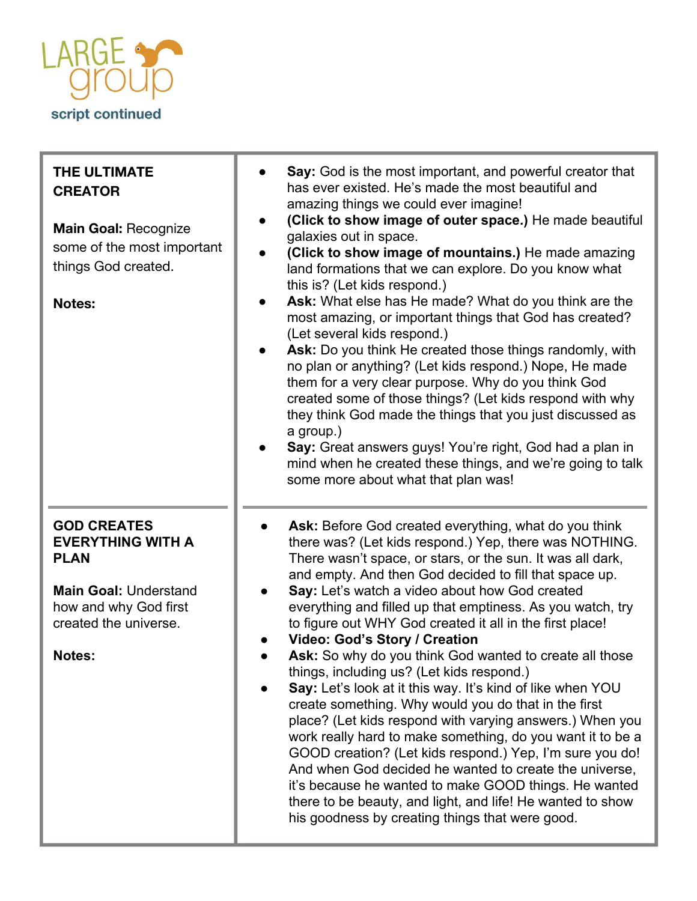

| THE ULTIMATE<br><b>CREATOR</b><br><b>Main Goal: Recognize</b><br>some of the most important<br>things God created.<br><b>Notes:</b>                              | Say: God is the most important, and powerful creator that<br>has ever existed. He's made the most beautiful and<br>amazing things we could ever imagine!<br>(Click to show image of outer space.) He made beautiful<br>galaxies out in space.<br>(Click to show image of mountains.) He made amazing<br>land formations that we can explore. Do you know what<br>this is? (Let kids respond.)<br>Ask: What else has He made? What do you think are the<br>most amazing, or important things that God has created?<br>(Let several kids respond.)<br>Ask: Do you think He created those things randomly, with<br>no plan or anything? (Let kids respond.) Nope, He made<br>them for a very clear purpose. Why do you think God<br>created some of those things? (Let kids respond with why<br>they think God made the things that you just discussed as<br>a group.)<br>Say: Great answers guys! You're right, God had a plan in<br>mind when he created these things, and we're going to talk<br>some more about what that plan was!                                                                         |
|------------------------------------------------------------------------------------------------------------------------------------------------------------------|--------------------------------------------------------------------------------------------------------------------------------------------------------------------------------------------------------------------------------------------------------------------------------------------------------------------------------------------------------------------------------------------------------------------------------------------------------------------------------------------------------------------------------------------------------------------------------------------------------------------------------------------------------------------------------------------------------------------------------------------------------------------------------------------------------------------------------------------------------------------------------------------------------------------------------------------------------------------------------------------------------------------------------------------------------------------------------------------------------------|
| <b>GOD CREATES</b><br><b>EVERYTHING WITH A</b><br><b>PLAN</b><br><b>Main Goal: Understand</b><br>how and why God first<br>created the universe.<br><b>Notes:</b> | Ask: Before God created everything, what do you think<br>there was? (Let kids respond.) Yep, there was NOTHING.<br>There wasn't space, or stars, or the sun. It was all dark,<br>and empty. And then God decided to fill that space up.<br>Say: Let's watch a video about how God created<br>everything and filled up that emptiness. As you watch, try<br>to figure out WHY God created it all in the first place!<br>Video: God's Story / Creation<br>Ask: So why do you think God wanted to create all those<br>things, including us? (Let kids respond.)<br>Say: Let's look at it this way. It's kind of like when YOU<br>create something. Why would you do that in the first<br>place? (Let kids respond with varying answers.) When you<br>work really hard to make something, do you want it to be a<br>GOOD creation? (Let kids respond.) Yep, I'm sure you do!<br>And when God decided he wanted to create the universe,<br>it's because he wanted to make GOOD things. He wanted<br>there to be beauty, and light, and life! He wanted to show<br>his goodness by creating things that were good. |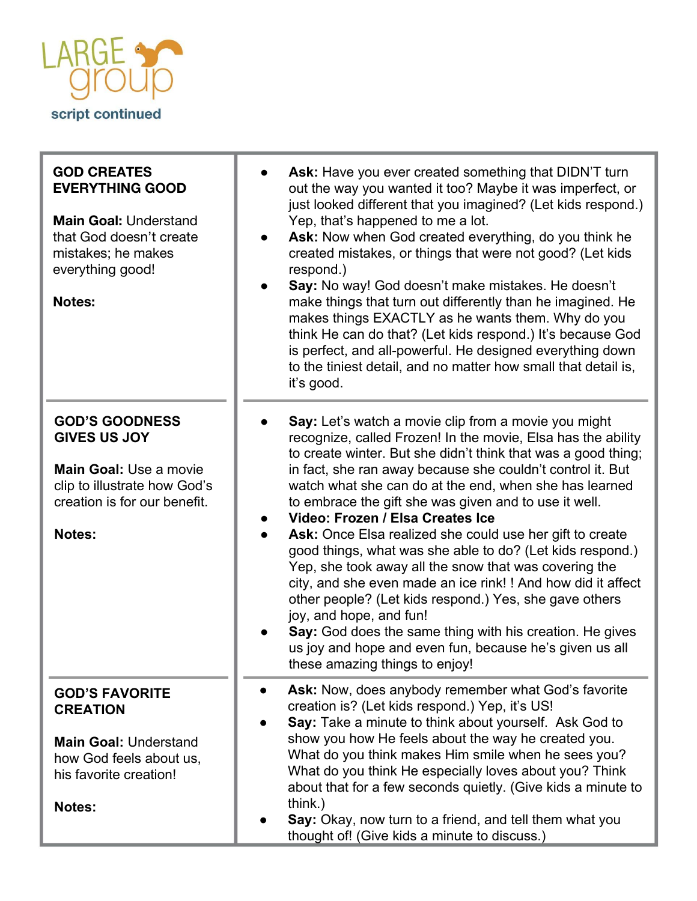

| <b>GOD CREATES</b><br><b>EVERYTHING GOOD</b><br><b>Main Goal: Understand</b><br>that God doesn't create<br>mistakes; he makes<br>everything good!<br><b>Notes:</b> | Ask: Have you ever created something that DIDN'T turn<br>out the way you wanted it too? Maybe it was imperfect, or<br>just looked different that you imagined? (Let kids respond.)<br>Yep, that's happened to me a lot.<br>Ask: Now when God created everything, do you think he<br>created mistakes, or things that were not good? (Let kids<br>respond.)<br>Say: No way! God doesn't make mistakes. He doesn't<br>make things that turn out differently than he imagined. He<br>makes things EXACTLY as he wants them. Why do you<br>think He can do that? (Let kids respond.) It's because God<br>is perfect, and all-powerful. He designed everything down<br>to the tiniest detail, and no matter how small that detail is,<br>it's good.                                                                                                                                                             |
|--------------------------------------------------------------------------------------------------------------------------------------------------------------------|------------------------------------------------------------------------------------------------------------------------------------------------------------------------------------------------------------------------------------------------------------------------------------------------------------------------------------------------------------------------------------------------------------------------------------------------------------------------------------------------------------------------------------------------------------------------------------------------------------------------------------------------------------------------------------------------------------------------------------------------------------------------------------------------------------------------------------------------------------------------------------------------------------|
| <b>GOD'S GOODNESS</b><br><b>GIVES US JOY</b><br><b>Main Goal: Use a movie</b><br>clip to illustrate how God's<br>creation is for our benefit.<br>Notes:            | Say: Let's watch a movie clip from a movie you might<br>recognize, called Frozen! In the movie, Elsa has the ability<br>to create winter. But she didn't think that was a good thing;<br>in fact, she ran away because she couldn't control it. But<br>watch what she can do at the end, when she has learned<br>to embrace the gift she was given and to use it well.<br>Video: Frozen / Elsa Creates Ice<br>Ask: Once Elsa realized she could use her gift to create<br>good things, what was she able to do? (Let kids respond.)<br>Yep, she took away all the snow that was covering the<br>city, and she even made an ice rink! ! And how did it affect<br>other people? (Let kids respond.) Yes, she gave others<br>joy, and hope, and fun!<br>Say: God does the same thing with his creation. He gives<br>us joy and hope and even fun, because he's given us all<br>these amazing things to enjoy! |
| <b>GOD'S FAVORITE</b><br><b>CREATION</b><br><b>Main Goal: Understand</b><br>how God feels about us,<br>his favorite creation!<br><b>Notes:</b>                     | Ask: Now, does anybody remember what God's favorite<br>creation is? (Let kids respond.) Yep, it's US!<br>Say: Take a minute to think about yourself. Ask God to<br>show you how He feels about the way he created you.<br>What do you think makes Him smile when he sees you?<br>What do you think He especially loves about you? Think<br>about that for a few seconds quietly. (Give kids a minute to<br>think.)<br>Say: Okay, now turn to a friend, and tell them what you<br>thought of! (Give kids a minute to discuss.)                                                                                                                                                                                                                                                                                                                                                                              |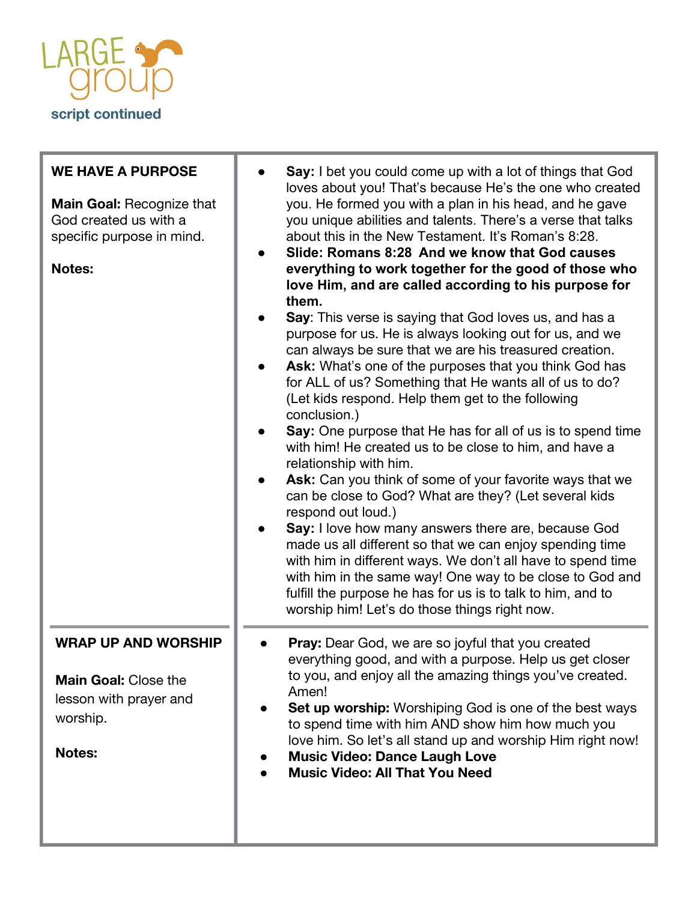

| <b>WE HAVE A PURPOSE</b><br><b>Main Goal: Recognize that</b><br>God created us with a<br>specific purpose in mind.<br><b>Notes:</b> | Say: I bet you could come up with a lot of things that God<br>loves about you! That's because He's the one who created<br>you. He formed you with a plan in his head, and he gave<br>you unique abilities and talents. There's a verse that talks<br>about this in the New Testament. It's Roman's 8:28.<br>Slide: Romans 8:28 And we know that God causes<br>everything to work together for the good of those who<br>love Him, and are called according to his purpose for<br>them.<br>Say: This verse is saying that God loves us, and has a<br>purpose for us. He is always looking out for us, and we<br>can always be sure that we are his treasured creation.<br>Ask: What's one of the purposes that you think God has<br>for ALL of us? Something that He wants all of us to do?<br>(Let kids respond. Help them get to the following<br>conclusion.)<br>Say: One purpose that He has for all of us is to spend time<br>with him! He created us to be close to him, and have a<br>relationship with him.<br>Ask: Can you think of some of your favorite ways that we<br>can be close to God? What are they? (Let several kids<br>respond out loud.)<br>Say: I love how many answers there are, because God<br>made us all different so that we can enjoy spending time<br>with him in different ways. We don't all have to spend time<br>with him in the same way! One way to be close to God and<br>fulfill the purpose he has for us is to talk to him, and to<br>worship him! Let's do those things right now. |
|-------------------------------------------------------------------------------------------------------------------------------------|----------------------------------------------------------------------------------------------------------------------------------------------------------------------------------------------------------------------------------------------------------------------------------------------------------------------------------------------------------------------------------------------------------------------------------------------------------------------------------------------------------------------------------------------------------------------------------------------------------------------------------------------------------------------------------------------------------------------------------------------------------------------------------------------------------------------------------------------------------------------------------------------------------------------------------------------------------------------------------------------------------------------------------------------------------------------------------------------------------------------------------------------------------------------------------------------------------------------------------------------------------------------------------------------------------------------------------------------------------------------------------------------------------------------------------------------------------------------------------------------------------------------------|
| <b>WRAP UP AND WORSHIP</b><br><b>Main Goal: Close the</b><br>lesson with prayer and<br>worship.<br><b>Notes:</b>                    | Pray: Dear God, we are so joyful that you created<br>everything good, and with a purpose. Help us get closer<br>to you, and enjoy all the amazing things you've created.<br>Amen!<br><b>Set up worship:</b> Worshiping God is one of the best ways<br>to spend time with him AND show him how much you<br>love him. So let's all stand up and worship Him right now!<br><b>Music Video: Dance Laugh Love</b><br><b>Music Video: All That You Need</b>                                                                                                                                                                                                                                                                                                                                                                                                                                                                                                                                                                                                                                                                                                                                                                                                                                                                                                                                                                                                                                                                      |